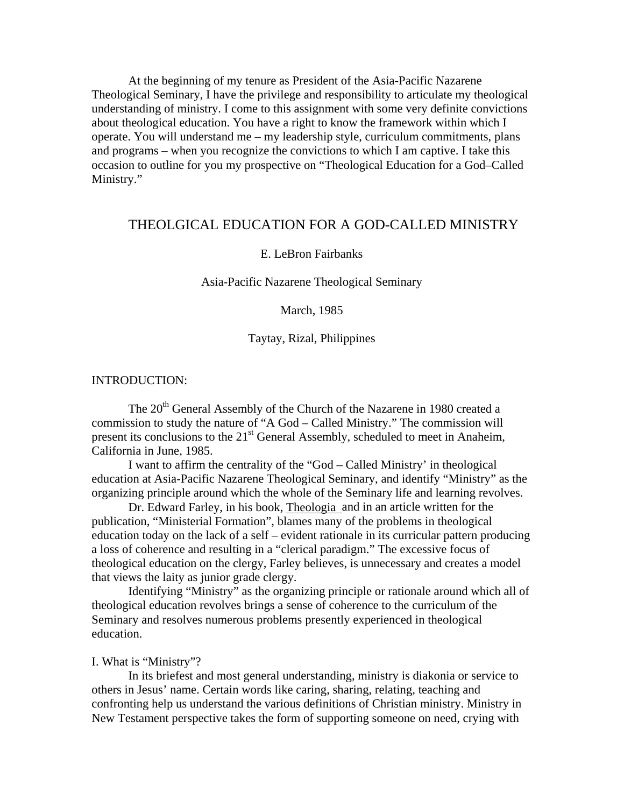At the beginning of my tenure as President of the Asia-Pacific Nazarene Theological Seminary, I have the privilege and responsibility to articulate my theological understanding of ministry. I come to this assignment with some very definite convictions about theological education. You have a right to know the framework within which I operate. You will understand me – my leadership style, curriculum commitments, plans and programs – when you recognize the convictions to which I am captive. I take this occasion to outline for you my prospective on "Theological Education for a God–Called Ministry."

# THEOLGICAL EDUCATION FOR A GOD-CALLED MINISTRY

## E. LeBron Fairbanks

## Asia-Pacific Nazarene Theological Seminary

March, 1985

## Taytay, Rizal, Philippines

## INTRODUCTION:

The 20<sup>th</sup> General Assembly of the Church of the Nazarene in 1980 created a commission to study the nature of "A God – Called Ministry." The commission will present its conclusions to the 21<sup>st</sup> General Assembly, scheduled to meet in Anaheim, California in June, 1985.

 I want to affirm the centrality of the "God – Called Ministry' in theological education at Asia-Pacific Nazarene Theological Seminary, and identify "Ministry" as the organizing principle around which the whole of the Seminary life and learning revolves.

 Dr. Edward Farley, in his book, Theologia and in an article written for the publication, "Ministerial Formation", blames many of the problems in theological education today on the lack of a self – evident rationale in its curricular pattern producing a loss of coherence and resulting in a "clerical paradigm." The excessive focus of theological education on the clergy, Farley believes, is unnecessary and creates a model that views the laity as junior grade clergy.

 Identifying "Ministry" as the organizing principle or rationale around which all of theological education revolves brings a sense of coherence to the curriculum of the Seminary and resolves numerous problems presently experienced in theological education.

## I. What is "Ministry"?

 In its briefest and most general understanding, ministry is diakonia or service to others in Jesus' name. Certain words like caring, sharing, relating, teaching and confronting help us understand the various definitions of Christian ministry. Ministry in New Testament perspective takes the form of supporting someone on need, crying with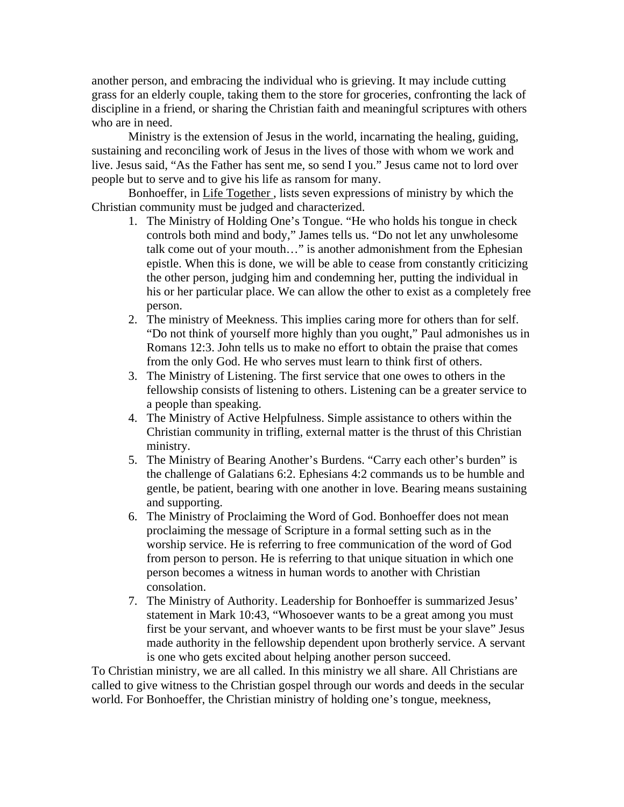another person, and embracing the individual who is grieving. It may include cutting grass for an elderly couple, taking them to the store for groceries, confronting the lack of discipline in a friend, or sharing the Christian faith and meaningful scriptures with others who are in need.

 Ministry is the extension of Jesus in the world, incarnating the healing, guiding, sustaining and reconciling work of Jesus in the lives of those with whom we work and live. Jesus said, "As the Father has sent me, so send I you." Jesus came not to lord over people but to serve and to give his life as ransom for many.

Bonhoeffer, in Life Together, lists seven expressions of ministry by which the Christian community must be judged and characterized.

- 1. The Ministry of Holding One's Tongue. "He who holds his tongue in check controls both mind and body," James tells us. "Do not let any unwholesome talk come out of your mouth…" is another admonishment from the Ephesian epistle. When this is done, we will be able to cease from constantly criticizing the other person, judging him and condemning her, putting the individual in his or her particular place. We can allow the other to exist as a completely free person.
- 2. The ministry of Meekness. This implies caring more for others than for self. "Do not think of yourself more highly than you ought," Paul admonishes us in Romans 12:3. John tells us to make no effort to obtain the praise that comes from the only God. He who serves must learn to think first of others.
- 3. The Ministry of Listening. The first service that one owes to others in the fellowship consists of listening to others. Listening can be a greater service to a people than speaking.
- 4. The Ministry of Active Helpfulness. Simple assistance to others within the Christian community in trifling, external matter is the thrust of this Christian ministry.
- 5. The Ministry of Bearing Another's Burdens. "Carry each other's burden" is the challenge of Galatians 6:2. Ephesians 4:2 commands us to be humble and gentle, be patient, bearing with one another in love. Bearing means sustaining and supporting.
- 6. The Ministry of Proclaiming the Word of God. Bonhoeffer does not mean proclaiming the message of Scripture in a formal setting such as in the worship service. He is referring to free communication of the word of God from person to person. He is referring to that unique situation in which one person becomes a witness in human words to another with Christian consolation.
- 7. The Ministry of Authority. Leadership for Bonhoeffer is summarized Jesus' statement in Mark 10:43, "Whosoever wants to be a great among you must first be your servant, and whoever wants to be first must be your slave" Jesus made authority in the fellowship dependent upon brotherly service. A servant is one who gets excited about helping another person succeed.

To Christian ministry, we are all called. In this ministry we all share. All Christians are called to give witness to the Christian gospel through our words and deeds in the secular world. For Bonhoeffer, the Christian ministry of holding one's tongue, meekness,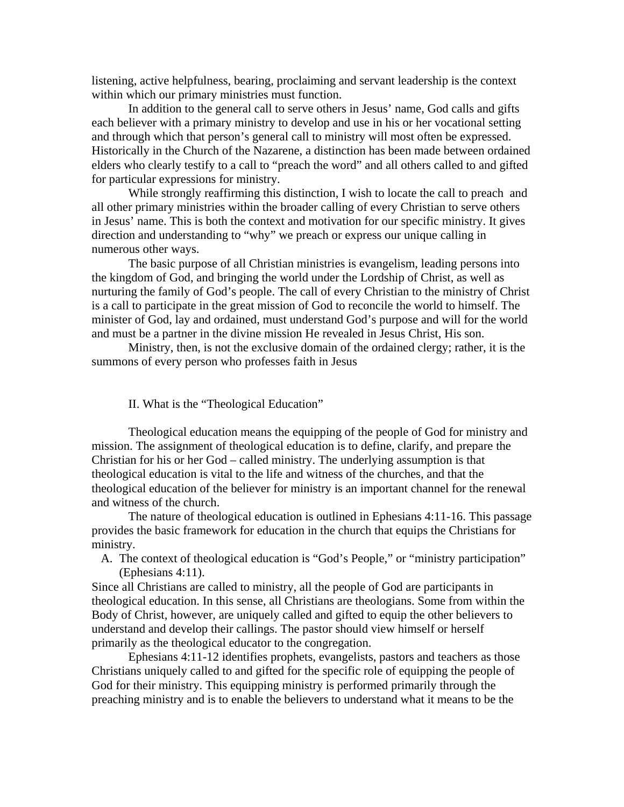listening, active helpfulness, bearing, proclaiming and servant leadership is the context within which our primary ministries must function.

 In addition to the general call to serve others in Jesus' name, God calls and gifts each believer with a primary ministry to develop and use in his or her vocational setting and through which that person's general call to ministry will most often be expressed. Historically in the Church of the Nazarene, a distinction has been made between ordained elders who clearly testify to a call to "preach the word" and all others called to and gifted for particular expressions for ministry.

 While strongly reaffirming this distinction, I wish to locate the call to preach and all other primary ministries within the broader calling of every Christian to serve others in Jesus' name. This is both the context and motivation for our specific ministry. It gives direction and understanding to "why" we preach or express our unique calling in numerous other ways.

 The basic purpose of all Christian ministries is evangelism, leading persons into the kingdom of God, and bringing the world under the Lordship of Christ, as well as nurturing the family of God's people. The call of every Christian to the ministry of Christ is a call to participate in the great mission of God to reconcile the world to himself. The minister of God, lay and ordained, must understand God's purpose and will for the world and must be a partner in the divine mission He revealed in Jesus Christ, His son.

 Ministry, then, is not the exclusive domain of the ordained clergy; rather, it is the summons of every person who professes faith in Jesus

## II. What is the "Theological Education"

 Theological education means the equipping of the people of God for ministry and mission. The assignment of theological education is to define, clarify, and prepare the Christian for his or her God – called ministry. The underlying assumption is that theological education is vital to the life and witness of the churches, and that the theological education of the believer for ministry is an important channel for the renewal and witness of the church.

 The nature of theological education is outlined in Ephesians 4:11-16. This passage provides the basic framework for education in the church that equips the Christians for ministry.

A. The context of theological education is "God's People," or "ministry participation" (Ephesians 4:11).

Since all Christians are called to ministry, all the people of God are participants in theological education. In this sense, all Christians are theologians. Some from within the Body of Christ, however, are uniquely called and gifted to equip the other believers to understand and develop their callings. The pastor should view himself or herself primarily as the theological educator to the congregation.

 Ephesians 4:11-12 identifies prophets, evangelists, pastors and teachers as those Christians uniquely called to and gifted for the specific role of equipping the people of God for their ministry. This equipping ministry is performed primarily through the preaching ministry and is to enable the believers to understand what it means to be the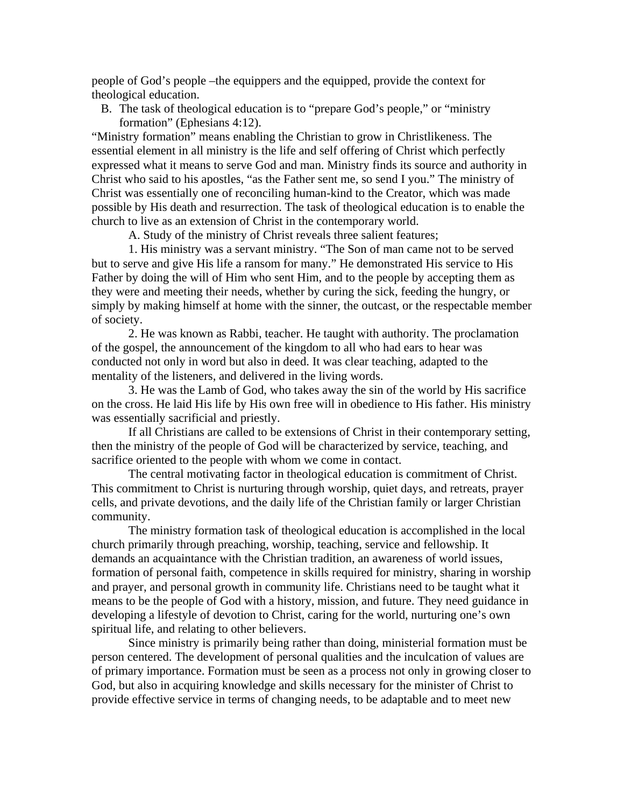people of God's people –the equippers and the equipped, provide the context for theological education.

B. The task of theological education is to "prepare God's people," or "ministry formation" (Ephesians 4:12).

"Ministry formation" means enabling the Christian to grow in Christlikeness. The essential element in all ministry is the life and self offering of Christ which perfectly expressed what it means to serve God and man. Ministry finds its source and authority in Christ who said to his apostles, "as the Father sent me, so send I you." The ministry of Christ was essentially one of reconciling human-kind to the Creator, which was made possible by His death and resurrection. The task of theological education is to enable the church to live as an extension of Christ in the contemporary world.

A. Study of the ministry of Christ reveals three salient features;

1. His ministry was a servant ministry. "The Son of man came not to be served but to serve and give His life a ransom for many." He demonstrated His service to His Father by doing the will of Him who sent Him, and to the people by accepting them as they were and meeting their needs, whether by curing the sick, feeding the hungry, or simply by making himself at home with the sinner, the outcast, or the respectable member of society.

 2. He was known as Rabbi, teacher. He taught with authority. The proclamation of the gospel, the announcement of the kingdom to all who had ears to hear was conducted not only in word but also in deed. It was clear teaching, adapted to the mentality of the listeners, and delivered in the living words.

 3. He was the Lamb of God, who takes away the sin of the world by His sacrifice on the cross. He laid His life by His own free will in obedience to His father. His ministry was essentially sacrificial and priestly.

 If all Christians are called to be extensions of Christ in their contemporary setting, then the ministry of the people of God will be characterized by service, teaching, and sacrifice oriented to the people with whom we come in contact.

 The central motivating factor in theological education is commitment of Christ. This commitment to Christ is nurturing through worship, quiet days, and retreats, prayer cells, and private devotions, and the daily life of the Christian family or larger Christian community.

 The ministry formation task of theological education is accomplished in the local church primarily through preaching, worship, teaching, service and fellowship. It demands an acquaintance with the Christian tradition, an awareness of world issues, formation of personal faith, competence in skills required for ministry, sharing in worship and prayer, and personal growth in community life. Christians need to be taught what it means to be the people of God with a history, mission, and future. They need guidance in developing a lifestyle of devotion to Christ, caring for the world, nurturing one's own spiritual life, and relating to other believers.

 Since ministry is primarily being rather than doing, ministerial formation must be person centered. The development of personal qualities and the inculcation of values are of primary importance. Formation must be seen as a process not only in growing closer to God, but also in acquiring knowledge and skills necessary for the minister of Christ to provide effective service in terms of changing needs, to be adaptable and to meet new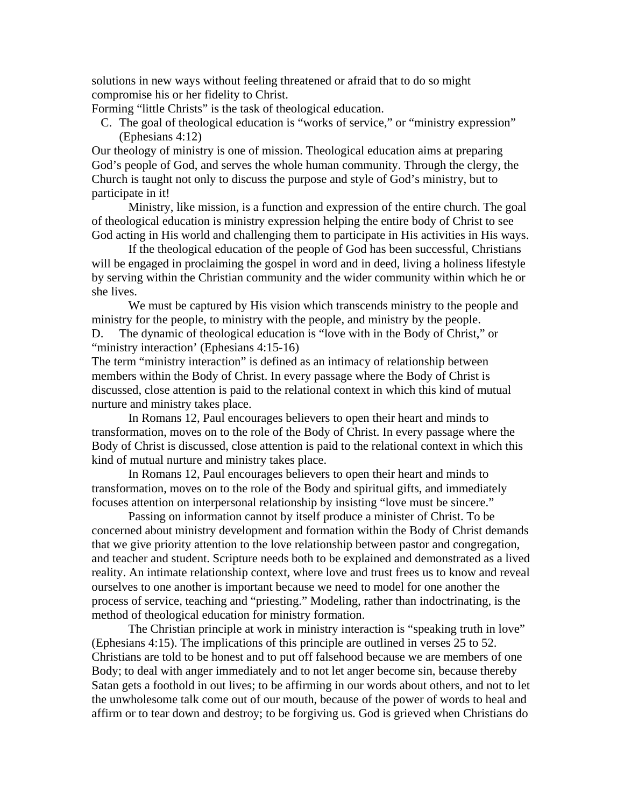solutions in new ways without feeling threatened or afraid that to do so might compromise his or her fidelity to Christ.

Forming "little Christs" is the task of theological education.

C. The goal of theological education is "works of service," or "ministry expression" (Ephesians 4:12)

Our theology of ministry is one of mission. Theological education aims at preparing God's people of God, and serves the whole human community. Through the clergy, the Church is taught not only to discuss the purpose and style of God's ministry, but to participate in it!

 Ministry, like mission, is a function and expression of the entire church. The goal of theological education is ministry expression helping the entire body of Christ to see God acting in His world and challenging them to participate in His activities in His ways.

 If the theological education of the people of God has been successful, Christians will be engaged in proclaiming the gospel in word and in deed, living a holiness lifestyle by serving within the Christian community and the wider community within which he or she lives.

 We must be captured by His vision which transcends ministry to the people and ministry for the people, to ministry with the people, and ministry by the people.

D. The dynamic of theological education is "love with in the Body of Christ," or "ministry interaction' (Ephesians 4:15-16)

The term "ministry interaction" is defined as an intimacy of relationship between members within the Body of Christ. In every passage where the Body of Christ is discussed, close attention is paid to the relational context in which this kind of mutual nurture and ministry takes place.

 In Romans 12, Paul encourages believers to open their heart and minds to transformation, moves on to the role of the Body of Christ. In every passage where the Body of Christ is discussed, close attention is paid to the relational context in which this kind of mutual nurture and ministry takes place.

 In Romans 12, Paul encourages believers to open their heart and minds to transformation, moves on to the role of the Body and spiritual gifts, and immediately focuses attention on interpersonal relationship by insisting "love must be sincere."

 Passing on information cannot by itself produce a minister of Christ. To be concerned about ministry development and formation within the Body of Christ demands that we give priority attention to the love relationship between pastor and congregation, and teacher and student. Scripture needs both to be explained and demonstrated as a lived reality. An intimate relationship context, where love and trust frees us to know and reveal ourselves to one another is important because we need to model for one another the process of service, teaching and "priesting." Modeling, rather than indoctrinating, is the method of theological education for ministry formation.

 The Christian principle at work in ministry interaction is "speaking truth in love" (Ephesians 4:15). The implications of this principle are outlined in verses 25 to 52. Christians are told to be honest and to put off falsehood because we are members of one Body; to deal with anger immediately and to not let anger become sin, because thereby Satan gets a foothold in out lives; to be affirming in our words about others, and not to let the unwholesome talk come out of our mouth, because of the power of words to heal and affirm or to tear down and destroy; to be forgiving us. God is grieved when Christians do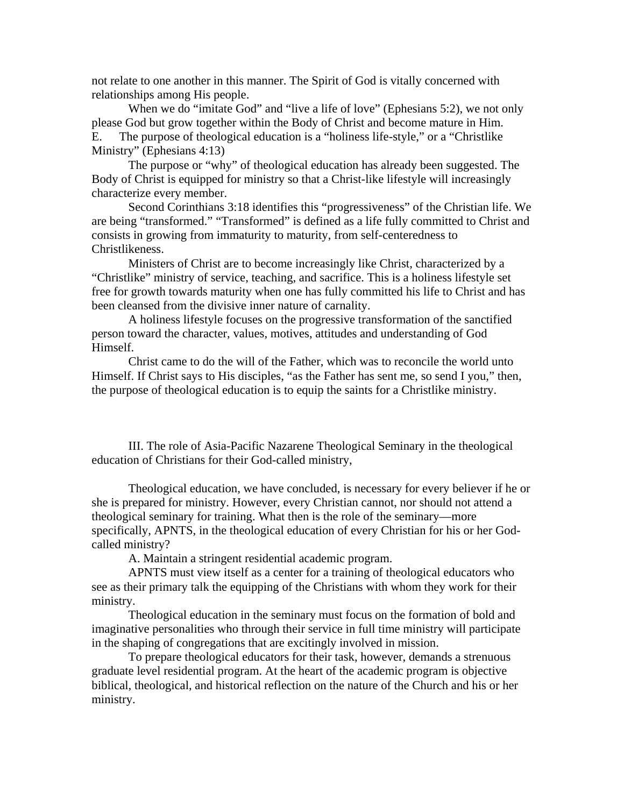not relate to one another in this manner. The Spirit of God is vitally concerned with relationships among His people.

When we do "imitate God" and "live a life of love" (Ephesians 5:2), we not only please God but grow together within the Body of Christ and become mature in Him. E. The purpose of theological education is a "holiness life-style," or a "Christlike Ministry" (Ephesians 4:13)

The purpose or "why" of theological education has already been suggested. The Body of Christ is equipped for ministry so that a Christ-like lifestyle will increasingly characterize every member.

 Second Corinthians 3:18 identifies this "progressiveness" of the Christian life. We are being "transformed." "Transformed" is defined as a life fully committed to Christ and consists in growing from immaturity to maturity, from self-centeredness to Christlikeness.

 Ministers of Christ are to become increasingly like Christ, characterized by a "Christlike" ministry of service, teaching, and sacrifice. This is a holiness lifestyle set free for growth towards maturity when one has fully committed his life to Christ and has been cleansed from the divisive inner nature of carnality.

 A holiness lifestyle focuses on the progressive transformation of the sanctified person toward the character, values, motives, attitudes and understanding of God Himself.

 Christ came to do the will of the Father, which was to reconcile the world unto Himself. If Christ says to His disciples, "as the Father has sent me, so send I you," then, the purpose of theological education is to equip the saints for a Christlike ministry.

 III. The role of Asia-Pacific Nazarene Theological Seminary in the theological education of Christians for their God-called ministry,

 Theological education, we have concluded, is necessary for every believer if he or she is prepared for ministry. However, every Christian cannot, nor should not attend a theological seminary for training. What then is the role of the seminary—more specifically, APNTS, in the theological education of every Christian for his or her Godcalled ministry?

A. Maintain a stringent residential academic program.

 APNTS must view itself as a center for a training of theological educators who see as their primary talk the equipping of the Christians with whom they work for their ministry.

 Theological education in the seminary must focus on the formation of bold and imaginative personalities who through their service in full time ministry will participate in the shaping of congregations that are excitingly involved in mission.

 To prepare theological educators for their task, however, demands a strenuous graduate level residential program. At the heart of the academic program is objective biblical, theological, and historical reflection on the nature of the Church and his or her ministry.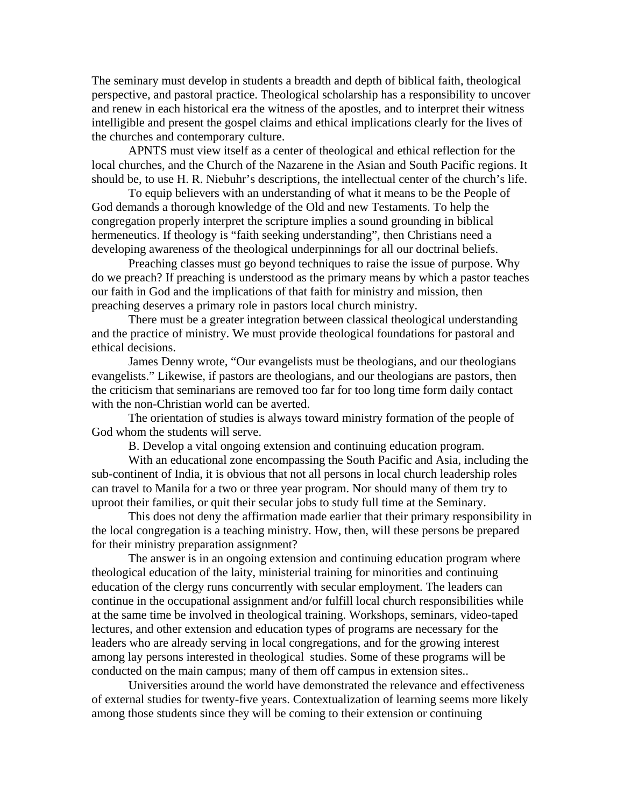The seminary must develop in students a breadth and depth of biblical faith, theological perspective, and pastoral practice. Theological scholarship has a responsibility to uncover and renew in each historical era the witness of the apostles, and to interpret their witness intelligible and present the gospel claims and ethical implications clearly for the lives of the churches and contemporary culture.

 APNTS must view itself as a center of theological and ethical reflection for the local churches, and the Church of the Nazarene in the Asian and South Pacific regions. It should be, to use H. R. Niebuhr's descriptions, the intellectual center of the church's life.

 To equip believers with an understanding of what it means to be the People of God demands a thorough knowledge of the Old and new Testaments. To help the congregation properly interpret the scripture implies a sound grounding in biblical hermeneutics. If theology is "faith seeking understanding", then Christians need a developing awareness of the theological underpinnings for all our doctrinal beliefs.

 Preaching classes must go beyond techniques to raise the issue of purpose. Why do we preach? If preaching is understood as the primary means by which a pastor teaches our faith in God and the implications of that faith for ministry and mission, then preaching deserves a primary role in pastors local church ministry.

 There must be a greater integration between classical theological understanding and the practice of ministry. We must provide theological foundations for pastoral and ethical decisions.

 James Denny wrote, "Our evangelists must be theologians, and our theologians evangelists." Likewise, if pastors are theologians, and our theologians are pastors, then the criticism that seminarians are removed too far for too long time form daily contact with the non-Christian world can be averted.

 The orientation of studies is always toward ministry formation of the people of God whom the students will serve.

B. Develop a vital ongoing extension and continuing education program.

 With an educational zone encompassing the South Pacific and Asia, including the sub-continent of India, it is obvious that not all persons in local church leadership roles can travel to Manila for a two or three year program. Nor should many of them try to uproot their families, or quit their secular jobs to study full time at the Seminary.

 This does not deny the affirmation made earlier that their primary responsibility in the local congregation is a teaching ministry. How, then, will these persons be prepared for their ministry preparation assignment?

 The answer is in an ongoing extension and continuing education program where theological education of the laity, ministerial training for minorities and continuing education of the clergy runs concurrently with secular employment. The leaders can continue in the occupational assignment and/or fulfill local church responsibilities while at the same time be involved in theological training. Workshops, seminars, video-taped lectures, and other extension and education types of programs are necessary for the leaders who are already serving in local congregations, and for the growing interest among lay persons interested in theological studies. Some of these programs will be conducted on the main campus; many of them off campus in extension sites..

 Universities around the world have demonstrated the relevance and effectiveness of external studies for twenty-five years. Contextualization of learning seems more likely among those students since they will be coming to their extension or continuing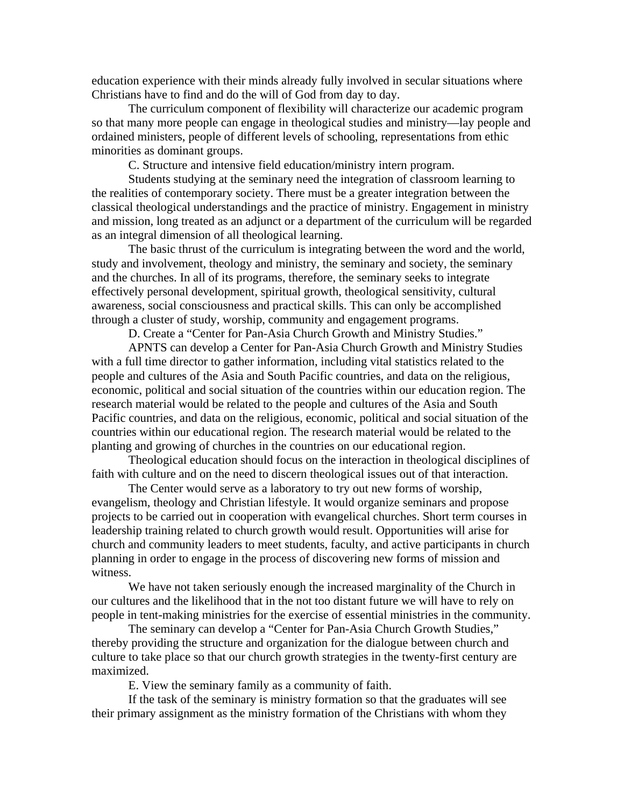education experience with their minds already fully involved in secular situations where Christians have to find and do the will of God from day to day.

 The curriculum component of flexibility will characterize our academic program so that many more people can engage in theological studies and ministry—lay people and ordained ministers, people of different levels of schooling, representations from ethic minorities as dominant groups.

C. Structure and intensive field education/ministry intern program.

 Students studying at the seminary need the integration of classroom learning to the realities of contemporary society. There must be a greater integration between the classical theological understandings and the practice of ministry. Engagement in ministry and mission, long treated as an adjunct or a department of the curriculum will be regarded as an integral dimension of all theological learning.

 The basic thrust of the curriculum is integrating between the word and the world, study and involvement, theology and ministry, the seminary and society, the seminary and the churches. In all of its programs, therefore, the seminary seeks to integrate effectively personal development, spiritual growth, theological sensitivity, cultural awareness, social consciousness and practical skills. This can only be accomplished through a cluster of study, worship, community and engagement programs.

D. Create a "Center for Pan-Asia Church Growth and Ministry Studies."

 APNTS can develop a Center for Pan-Asia Church Growth and Ministry Studies with a full time director to gather information, including vital statistics related to the people and cultures of the Asia and South Pacific countries, and data on the religious, economic, political and social situation of the countries within our education region. The research material would be related to the people and cultures of the Asia and South Pacific countries, and data on the religious, economic, political and social situation of the countries within our educational region. The research material would be related to the planting and growing of churches in the countries on our educational region.

 Theological education should focus on the interaction in theological disciplines of faith with culture and on the need to discern theological issues out of that interaction.

 The Center would serve as a laboratory to try out new forms of worship, evangelism, theology and Christian lifestyle. It would organize seminars and propose projects to be carried out in cooperation with evangelical churches. Short term courses in leadership training related to church growth would result. Opportunities will arise for church and community leaders to meet students, faculty, and active participants in church planning in order to engage in the process of discovering new forms of mission and witness.

 We have not taken seriously enough the increased marginality of the Church in our cultures and the likelihood that in the not too distant future we will have to rely on people in tent-making ministries for the exercise of essential ministries in the community.

 The seminary can develop a "Center for Pan-Asia Church Growth Studies," thereby providing the structure and organization for the dialogue between church and culture to take place so that our church growth strategies in the twenty-first century are maximized.

E. View the seminary family as a community of faith.

 If the task of the seminary is ministry formation so that the graduates will see their primary assignment as the ministry formation of the Christians with whom they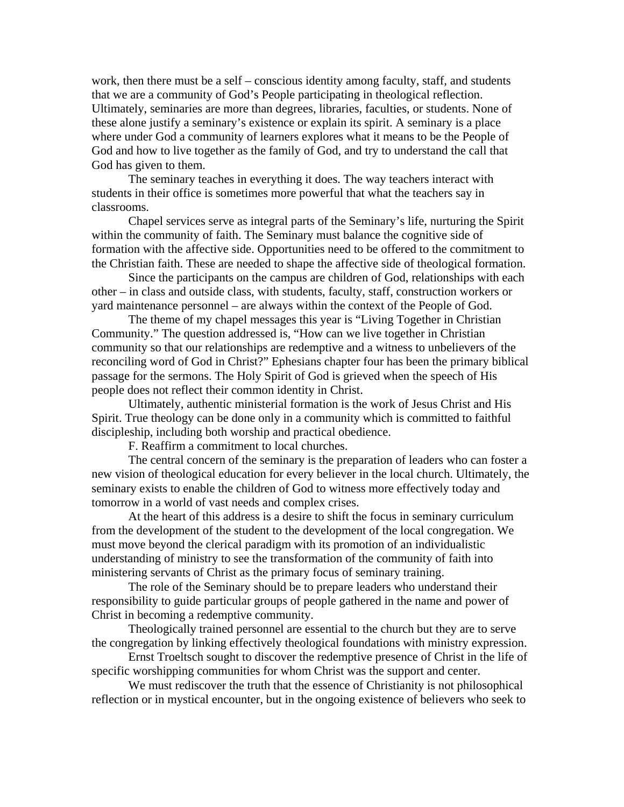work, then there must be a self – conscious identity among faculty, staff, and students that we are a community of God's People participating in theological reflection. Ultimately, seminaries are more than degrees, libraries, faculties, or students. None of these alone justify a seminary's existence or explain its spirit. A seminary is a place where under God a community of learners explores what it means to be the People of God and how to live together as the family of God, and try to understand the call that God has given to them.

 The seminary teaches in everything it does. The way teachers interact with students in their office is sometimes more powerful that what the teachers say in classrooms.

 Chapel services serve as integral parts of the Seminary's life, nurturing the Spirit within the community of faith. The Seminary must balance the cognitive side of formation with the affective side. Opportunities need to be offered to the commitment to the Christian faith. These are needed to shape the affective side of theological formation.

 Since the participants on the campus are children of God, relationships with each other – in class and outside class, with students, faculty, staff, construction workers or yard maintenance personnel – are always within the context of the People of God.

 The theme of my chapel messages this year is "Living Together in Christian Community." The question addressed is, "How can we live together in Christian community so that our relationships are redemptive and a witness to unbelievers of the reconciling word of God in Christ?" Ephesians chapter four has been the primary biblical passage for the sermons. The Holy Spirit of God is grieved when the speech of His people does not reflect their common identity in Christ.

 Ultimately, authentic ministerial formation is the work of Jesus Christ and His Spirit. True theology can be done only in a community which is committed to faithful discipleship, including both worship and practical obedience.

F. Reaffirm a commitment to local churches.

 The central concern of the seminary is the preparation of leaders who can foster a new vision of theological education for every believer in the local church. Ultimately, the seminary exists to enable the children of God to witness more effectively today and tomorrow in a world of vast needs and complex crises.

 At the heart of this address is a desire to shift the focus in seminary curriculum from the development of the student to the development of the local congregation. We must move beyond the clerical paradigm with its promotion of an individualistic understanding of ministry to see the transformation of the community of faith into ministering servants of Christ as the primary focus of seminary training.

 The role of the Seminary should be to prepare leaders who understand their responsibility to guide particular groups of people gathered in the name and power of Christ in becoming a redemptive community.

 Theologically trained personnel are essential to the church but they are to serve the congregation by linking effectively theological foundations with ministry expression.

 Ernst Troeltsch sought to discover the redemptive presence of Christ in the life of specific worshipping communities for whom Christ was the support and center.

We must rediscover the truth that the essence of Christianity is not philosophical reflection or in mystical encounter, but in the ongoing existence of believers who seek to